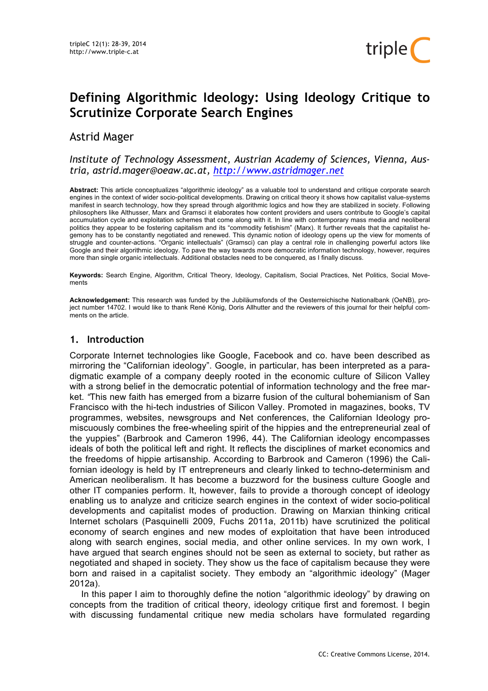# **Defining Algorithmic Ideology: Using Ideology Critique to Scrutinize Corporate Search Engines**

## Astrid Mager

*Institute of Technology Assessment, Austrian Academy of Sciences, Vienna, Austria, astrid.mager@oeaw.ac.at, http://www.astridmager.net*

**Abstract:** This article conceptualizes "algorithmic ideology" as a valuable tool to understand and critique corporate search engines in the context of wider socio-political developments. Drawing on critical theory it shows how capitalist value-systems manifest in search technology, how they spread through algorithmic logics and how they are stabilized in society. Following philosophers like Althusser, Marx and Gramsci it elaborates how content providers and users contribute to Google's capital accumulation cycle and exploitation schemes that come along with it. In line with contemporary mass media and neoliberal politics they appear to be fostering capitalism and its "commodity fetishism" (Marx). It further reveals that the capitalist hegemony has to be constantly negotiated and renewed. This dynamic notion of ideology opens up the view for moments of struggle and counter-actions. "Organic intellectuals" (Gramsci) can play a central role in challenging powerful actors like Google and their algorithmic ideology. To pave the way towards more democratic information technology, however, requires more than single organic intellectuals. Additional obstacles need to be conquered, as I finally discuss.

**Keywords:** Search Engine, Algorithm, Critical Theory, Ideology, Capitalism, Social Practices, Net Politics, Social Movements

**Acknowledgement:** This research was funded by the Jubiläumsfonds of the Oesterreichische Nationalbank (OeNB), project number 14702. I would like to thank René König, Doris Allhutter and the reviewers of this journal for their helpful comments on the article.

## **1. Introduction**

Corporate Internet technologies like Google, Facebook and co. have been described as mirroring the "Californian ideology". Google, in particular, has been interpreted as a paradigmatic example of a company deeply rooted in the economic culture of Silicon Valley with a strong belief in the democratic potential of information technology and the free market. *"*This new faith has emerged from a bizarre fusion of the cultural bohemianism of San Francisco with the hi-tech industries of Silicon Valley. Promoted in magazines, books, TV programmes, websites, newsgroups and Net conferences, the Californian Ideology promiscuously combines the free-wheeling spirit of the hippies and the entrepreneurial zeal of the yuppies" (Barbrook and Cameron 1996, 44). The Californian ideology encompasses ideals of both the political left and right. It reflects the disciplines of market economics and the freedoms of hippie artisanship. According to Barbrook and Cameron (1996) the Californian ideology is held by IT entrepreneurs and clearly linked to techno-determinism and American neoliberalism. It has become a buzzword for the business culture Google and other IT companies perform. It, however, fails to provide a thorough concept of ideology enabling us to analyze and criticize search engines in the context of wider socio-political developments and capitalist modes of production. Drawing on Marxian thinking critical Internet scholars (Pasquinelli 2009, Fuchs 2011a, 2011b) have scrutinized the political economy of search engines and new modes of exploitation that have been introduced along with search engines, social media, and other online services. In my own work, I have argued that search engines should not be seen as external to society, but rather as negotiated and shaped in society. They show us the face of capitalism because they were born and raised in a capitalist society. They embody an "algorithmic ideology" (Mager 2012a).

In this paper I aim to thoroughly define the notion "algorithmic ideology" by drawing on concepts from the tradition of critical theory, ideology critique first and foremost. I begin with discussing fundamental critique new media scholars have formulated regarding

triple<sup>1</sup>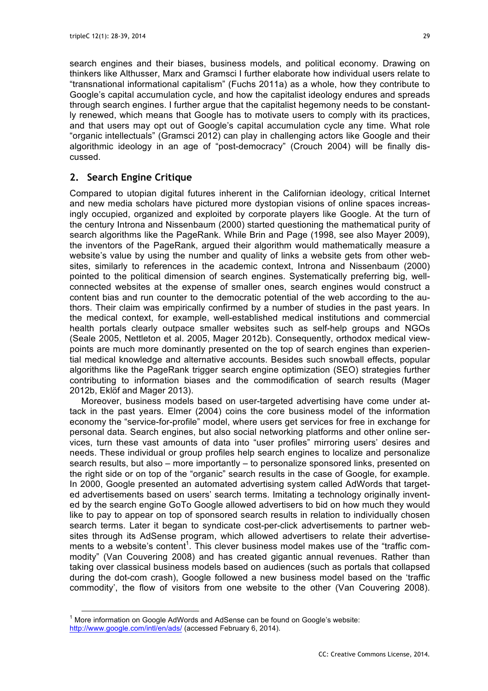search engines and their biases, business models, and political economy. Drawing on thinkers like Althusser, Marx and Gramsci I further elaborate how individual users relate to "transnational informational capitalism" (Fuchs 2011a) as a whole, how they contribute to Google's capital accumulation cycle, and how the capitalist ideology endures and spreads through search engines. I further argue that the capitalist hegemony needs to be constantly renewed, which means that Google has to motivate users to comply with its practices, and that users may opt out of Google's capital accumulation cycle any time. What role "organic intellectuals" (Gramsci 2012) can play in challenging actors like Google and their algorithmic ideology in an age of "post-democracy" (Crouch 2004) will be finally discussed.

## **2. Search Engine Critique**

Compared to utopian digital futures inherent in the Californian ideology, critical Internet and new media scholars have pictured more dystopian visions of online spaces increasingly occupied, organized and exploited by corporate players like Google. At the turn of the century Introna and Nissenbaum (2000) started questioning the mathematical purity of search algorithms like the PageRank. While Brin and Page (1998, see also Mayer 2009), the inventors of the PageRank, argued their algorithm would mathematically measure a website's value by using the number and quality of links a website gets from other websites, similarly to references in the academic context, Introna and Nissenbaum (2000) pointed to the political dimension of search engines. Systematically preferring big, wellconnected websites at the expense of smaller ones, search engines would construct a content bias and run counter to the democratic potential of the web according to the authors. Their claim was empirically confirmed by a number of studies in the past years. In the medical context, for example, well-established medical institutions and commercial health portals clearly outpace smaller websites such as self-help groups and NGOs (Seale 2005, Nettleton et al. 2005, Mager 2012b). Consequently, orthodox medical viewpoints are much more dominantly presented on the top of search engines than experiential medical knowledge and alternative accounts. Besides such snowball effects, popular algorithms like the PageRank trigger search engine optimization (SEO) strategies further contributing to information biases and the commodification of search results (Mager 2012b, Eklöf and Mager 2013).

Moreover, business models based on user-targeted advertising have come under attack in the past years. Elmer (2004) coins the core business model of the information economy the "service-for-profile" model, where users get services for free in exchange for personal data. Search engines, but also social networking platforms and other online services, turn these vast amounts of data into "user profiles" mirroring users' desires and needs. These individual or group profiles help search engines to localize and personalize search results, but also – more importantly – to personalize sponsored links, presented on the right side or on top of the "organic" search results in the case of Google, for example. In 2000, Google presented an automated advertising system called AdWords that targeted advertisements based on users' search terms. Imitating a technology originally invented by the search engine GoTo Google allowed advertisers to bid on how much they would like to pay to appear on top of sponsored search results in relation to individually chosen search terms. Later it began to syndicate cost-per-click advertisements to partner websites through its AdSense program, which allowed advertisers to relate their advertisements to a website's content<sup>1</sup>. This clever business model makes use of the "traffic commodity" (Van Couvering 2008) and has created gigantic annual revenues. Rather than taking over classical business models based on audiences (such as portals that collapsed during the dot-com crash), Google followed a new business model based on the 'traffic commodity', the flow of visitors from one website to the other (Van Couvering 2008).

 $1$  More information on Google AdWords and AdSense can be found on Google's website: http://www.google.com/intl/en/ads/ (accessed February 6, 2014).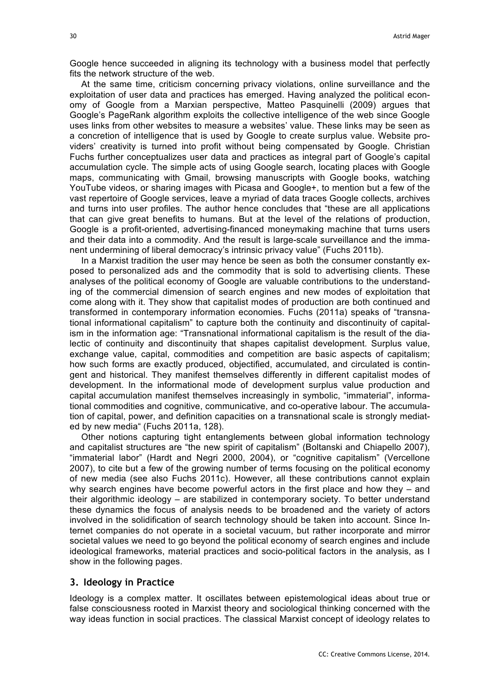Google hence succeeded in aligning its technology with a business model that perfectly fits the network structure of the web.

At the same time, criticism concerning privacy violations, online surveillance and the exploitation of user data and practices has emerged. Having analyzed the political economy of Google from a Marxian perspective, Matteo Pasquinelli (2009) argues that Google's PageRank algorithm exploits the collective intelligence of the web since Google uses links from other websites to measure a websites' value. These links may be seen as a concretion of intelligence that is used by Google to create surplus value. Website providers' creativity is turned into profit without being compensated by Google. Christian Fuchs further conceptualizes user data and practices as integral part of Google's capital accumulation cycle. The simple acts of using Google search, locating places with Google maps, communicating with Gmail, browsing manuscripts with Google books, watching YouTube videos, or sharing images with Picasa and Google+, to mention but a few of the vast repertoire of Google services, leave a myriad of data traces Google collects, archives and turns into user profiles. The author hence concludes that "these are all applications that can give great benefits to humans. But at the level of the relations of production, Google is a profit-oriented, advertising-financed moneymaking machine that turns users and their data into a commodity. And the result is large-scale surveillance and the immanent undermining of liberal democracy's intrinsic privacy value" (Fuchs 2011b).

In a Marxist tradition the user may hence be seen as both the consumer constantly exposed to personalized ads and the commodity that is sold to advertising clients. These analyses of the political economy of Google are valuable contributions to the understanding of the commercial dimension of search engines and new modes of exploitation that come along with it. They show that capitalist modes of production are both continued and transformed in contemporary information economies. Fuchs (2011a) speaks of "transnational informational capitalism" to capture both the continuity and discontinuity of capitalism in the information age: "Transnational informational capitalism is the result of the dialectic of continuity and discontinuity that shapes capitalist development. Surplus value, exchange value, capital, commodities and competition are basic aspects of capitalism; how such forms are exactly produced, objectified, accumulated, and circulated is contingent and historical. They manifest themselves differently in different capitalist modes of development. In the informational mode of development surplus value production and capital accumulation manifest themselves increasingly in symbolic, "immaterial", informational commodities and cognitive, communicative, and co-operative labour. The accumulation of capital, power, and definition capacities on a transnational scale is strongly mediated by new media" (Fuchs 2011a, 128).

Other notions capturing tight entanglements between global information technology and capitalist structures are "the new spirit of capitalism" (Boltanski and Chiapello 2007), "immaterial labor" (Hardt and Negri 2000, 2004), or "cognitive capitalism" (Vercellone 2007), to cite but a few of the growing number of terms focusing on the political economy of new media (see also Fuchs 2011c). However, all these contributions cannot explain why search engines have become powerful actors in the first place and how they – and their algorithmic ideology – are stabilized in contemporary society. To better understand these dynamics the focus of analysis needs to be broadened and the variety of actors involved in the solidification of search technology should be taken into account. Since Internet companies do not operate in a societal vacuum, but rather incorporate and mirror societal values we need to go beyond the political economy of search engines and include ideological frameworks, material practices and socio-political factors in the analysis, as I show in the following pages.

### **3. Ideology in Practice**

Ideology is a complex matter. It oscillates between epistemological ideas about true or false consciousness rooted in Marxist theory and sociological thinking concerned with the way ideas function in social practices. The classical Marxist concept of ideology relates to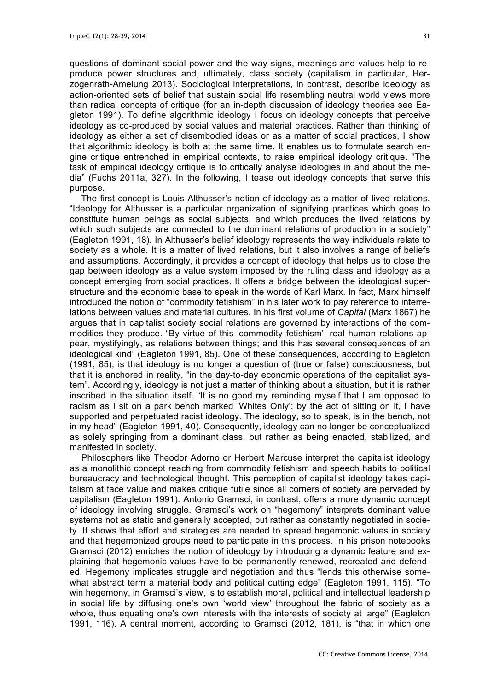questions of dominant social power and the way signs, meanings and values help to reproduce power structures and, ultimately, class society (capitalism in particular, Herzogenrath-Amelung 2013). Sociological interpretations, in contrast, describe ideology as action-oriented sets of belief that sustain social life resembling neutral world views more than radical concepts of critique (for an in-depth discussion of ideology theories see Eagleton 1991). To define algorithmic ideology I focus on ideology concepts that perceive ideology as co-produced by social values and material practices. Rather than thinking of ideology as either a set of disembodied ideas or as a matter of social practices, I show that algorithmic ideology is both at the same time. It enables us to formulate search engine critique entrenched in empirical contexts, to raise empirical ideology critique. "The task of empirical ideology critique is to critically analyse ideologies in and about the media" (Fuchs 2011a, 327). In the following, I tease out ideology concepts that serve this purpose.

The first concept is Louis Althusser's notion of ideology as a matter of lived relations. "Ideology for Althusser is a particular organization of signifying practices which goes to constitute human beings as social subjects, and which produces the lived relations by which such subjects are connected to the dominant relations of production in a society" (Eagleton 1991, 18). In Althusser's belief ideology represents the way individuals relate to society as a whole. It is a matter of lived relations, but it also involves a range of beliefs and assumptions. Accordingly, it provides a concept of ideology that helps us to close the gap between ideology as a value system imposed by the ruling class and ideology as a concept emerging from social practices. It offers a bridge between the ideological superstructure and the economic base to speak in the words of Karl Marx. In fact, Marx himself introduced the notion of "commodity fetishism" in his later work to pay reference to interrelations between values and material cultures. In his first volume of *Capital* (Marx 1867) he argues that in capitalist society social relations are governed by interactions of the commodities they produce. "By virtue of this 'commodity fetishism', real human relations appear, mystifyingly, as relations between things; and this has several consequences of an ideological kind" (Eagleton 1991, 85). One of these consequences, according to Eagleton (1991, 85), is that ideology is no longer a question of (true or false) consciousness, but that it is anchored in reality, "in the day-to-day economic operations of the capitalist system". Accordingly, ideology is not just a matter of thinking about a situation, but it is rather inscribed in the situation itself. "It is no good my reminding myself that I am opposed to racism as I sit on a park bench marked 'Whites Only'; by the act of sitting on it, I have supported and perpetuated racist ideology. The ideology, so to speak, is in the bench, not in my head" (Eagleton 1991, 40). Consequently, ideology can no longer be conceptualized as solely springing from a dominant class, but rather as being enacted, stabilized, and manifested in society.

Philosophers like Theodor Adorno or Herbert Marcuse interpret the capitalist ideology as a monolithic concept reaching from commodity fetishism and speech habits to political bureaucracy and technological thought. This perception of capitalist ideology takes capitalism at face value and makes critique futile since all corners of society are pervaded by capitalism (Eagleton 1991). Antonio Gramsci, in contrast, offers a more dynamic concept of ideology involving struggle. Gramsci's work on "hegemony" interprets dominant value systems not as static and generally accepted, but rather as constantly negotiated in society. It shows that effort and strategies are needed to spread hegemonic values in society and that hegemonized groups need to participate in this process. In his prison notebooks Gramsci (2012) enriches the notion of ideology by introducing a dynamic feature and explaining that hegemonic values have to be permanently renewed, recreated and defended. Hegemony implicates struggle and negotiation and thus "lends this otherwise somewhat abstract term a material body and political cutting edge" (Eagleton 1991, 115). "To win hegemony, in Gramsci's view, is to establish moral, political and intellectual leadership in social life by diffusing one's own 'world view' throughout the fabric of society as a whole, thus equating one's own interests with the interests of society at large" (Eagleton 1991, 116). A central moment, according to Gramsci (2012, 181), is "that in which one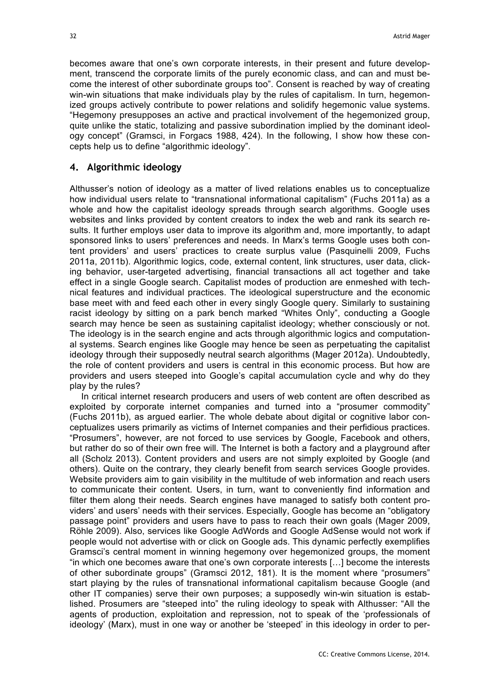becomes aware that one's own corporate interests, in their present and future development, transcend the corporate limits of the purely economic class, and can and must become the interest of other subordinate groups too". Consent is reached by way of creating win-win situations that make individuals play by the rules of capitalism. In turn, hegemonized groups actively contribute to power relations and solidify hegemonic value systems. "Hegemony presupposes an active and practical involvement of the hegemonized group, quite unlike the static, totalizing and passive subordination implied by the dominant ideology concept" (Gramsci, in Forgacs 1988, 424). In the following, I show how these concepts help us to define "algorithmic ideology".

## **4. Algorithmic ideology**

Althusser's notion of ideology as a matter of lived relations enables us to conceptualize how individual users relate to "transnational informational capitalism" (Fuchs 2011a) as a whole and how the capitalist ideology spreads through search algorithms. Google uses websites and links provided by content creators to index the web and rank its search results. It further employs user data to improve its algorithm and, more importantly, to adapt sponsored links to users' preferences and needs. In Marx's terms Google uses both content providers' and users' practices to create surplus value (Pasquinelli 2009, Fuchs 2011a, 2011b). Algorithmic logics, code, external content, link structures, user data, clicking behavior, user-targeted advertising, financial transactions all act together and take effect in a single Google search. Capitalist modes of production are enmeshed with technical features and individual practices. The ideological superstructure and the economic base meet with and feed each other in every singly Google query. Similarly to sustaining racist ideology by sitting on a park bench marked "Whites Only", conducting a Google search may hence be seen as sustaining capitalist ideology; whether consciously or not. The ideology is in the search engine and acts through algorithmic logics and computational systems. Search engines like Google may hence be seen as perpetuating the capitalist ideology through their supposedly neutral search algorithms (Mager 2012a). Undoubtedly, the role of content providers and users is central in this economic process. But how are providers and users steeped into Google's capital accumulation cycle and why do they play by the rules?

In critical internet research producers and users of web content are often described as exploited by corporate internet companies and turned into a "prosumer commodity" (Fuchs 2011b), as argued earlier. The whole debate about digital or cognitive labor conceptualizes users primarily as victims of Internet companies and their perfidious practices. "Prosumers", however, are not forced to use services by Google, Facebook and others, but rather do so of their own free will. The Internet is both a factory and a playground after all (Scholz 2013). Content providers and users are not simply exploited by Google (and others). Quite on the contrary, they clearly benefit from search services Google provides. Website providers aim to gain visibility in the multitude of web information and reach users to communicate their content. Users, in turn, want to conveniently find information and filter them along their needs. Search engines have managed to satisfy both content providers' and users' needs with their services. Especially, Google has become an "obligatory passage point" providers and users have to pass to reach their own goals (Mager 2009, Röhle 2009). Also, services like Google AdWords and Google AdSense would not work if people would not advertise with or click on Google ads. This dynamic perfectly exemplifies Gramsci's central moment in winning hegemony over hegemonized groups, the moment "in which one becomes aware that one's own corporate interests […] become the interests of other subordinate groups" (Gramsci 2012, 181). It is the moment where "prosumers" start playing by the rules of transnational informational capitalism because Google (and other IT companies) serve their own purposes; a supposedly win-win situation is established. Prosumers are "steeped into" the ruling ideology to speak with Althusser: "All the agents of production, exploitation and repression, not to speak of the 'professionals of ideology' (Marx), must in one way or another be 'steeped' in this ideology in order to per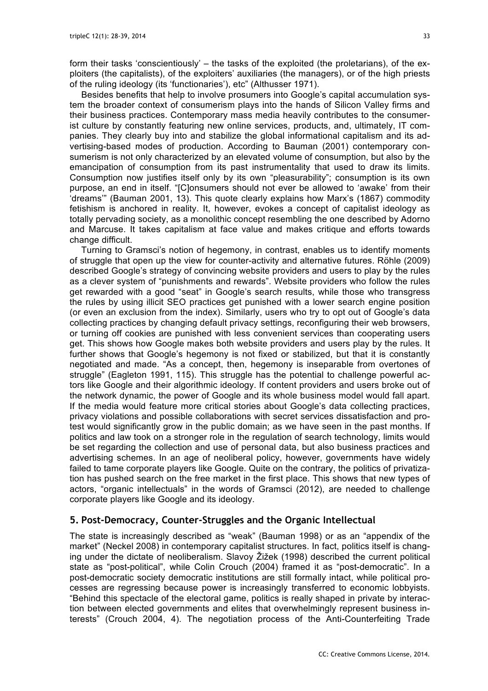form their tasks 'conscientiously' – the tasks of the exploited (the proletarians), of the exploiters (the capitalists), of the exploiters' auxiliaries (the managers), or of the high priests of the ruling ideology (its 'functionaries'), etc" (Althusser 1971).

Besides benefits that help to involve prosumers into Google's capital accumulation system the broader context of consumerism plays into the hands of Silicon Valley firms and their business practices. Contemporary mass media heavily contributes to the consumerist culture by constantly featuring new online services, products, and, ultimately, IT companies. They clearly buy into and stabilize the global informational capitalism and its advertising-based modes of production. According to Bauman (2001) contemporary consumerism is not only characterized by an elevated volume of consumption, but also by the emancipation of consumption from its past instrumentality that used to draw its limits. Consumption now justifies itself only by its own "pleasurability"; consumption is its own purpose, an end in itself. "[C]onsumers should not ever be allowed to 'awake' from their 'dreams'" (Bauman 2001, 13). This quote clearly explains how Marx's (1867) commodity fetishism is anchored in reality. It, however, evokes a concept of capitalist ideology as totally pervading society, as a monolithic concept resembling the one described by Adorno and Marcuse. It takes capitalism at face value and makes critique and efforts towards change difficult.

Turning to Gramsci's notion of hegemony, in contrast, enables us to identify moments of struggle that open up the view for counter-activity and alternative futures. Röhle (2009) described Google's strategy of convincing website providers and users to play by the rules as a clever system of "punishments and rewards". Website providers who follow the rules get rewarded with a good "seat" in Google's search results, while those who transgress the rules by using illicit SEO practices get punished with a lower search engine position (or even an exclusion from the index). Similarly, users who try to opt out of Google's data collecting practices by changing default privacy settings, reconfiguring their web browsers, or turning off cookies are punished with less convenient services than cooperating users get. This shows how Google makes both website providers and users play by the rules. It further shows that Google's hegemony is not fixed or stabilized, but that it is constantly negotiated and made. "As a concept, then, hegemony is inseparable from overtones of struggle" (Eagleton 1991, 115). This struggle has the potential to challenge powerful actors like Google and their algorithmic ideology. If content providers and users broke out of the network dynamic, the power of Google and its whole business model would fall apart. If the media would feature more critical stories about Google's data collecting practices, privacy violations and possible collaborations with secret services dissatisfaction and protest would significantly grow in the public domain; as we have seen in the past months. If politics and law took on a stronger role in the regulation of search technology, limits would be set regarding the collection and use of personal data, but also business practices and advertising schemes. In an age of neoliberal policy, however, governments have widely failed to tame corporate players like Google. Quite on the contrary, the politics of privatization has pushed search on the free market in the first place. This shows that new types of actors, "organic intellectuals" in the words of Gramsci (2012), are needed to challenge corporate players like Google and its ideology.

## **5. Post-Democracy, Counter-Struggles and the Organic Intellectual**

The state is increasingly described as "weak" (Bauman 1998) or as an "appendix of the market" (Neckel 2008) in contemporary capitalist structures. In fact, politics itself is changing under the dictate of neoliberalism. Slavoy Žižek (1998) described the current political state as "post-political", while Colin Crouch (2004) framed it as "post-democratic". In a post-democratic society democratic institutions are still formally intact, while political processes are regressing because power is increasingly transferred to economic lobbyists. "Behind this spectacle of the electoral game, politics is really shaped in private by interaction between elected governments and elites that overwhelmingly represent business interests" (Crouch 2004, 4). The negotiation process of the Anti-Counterfeiting Trade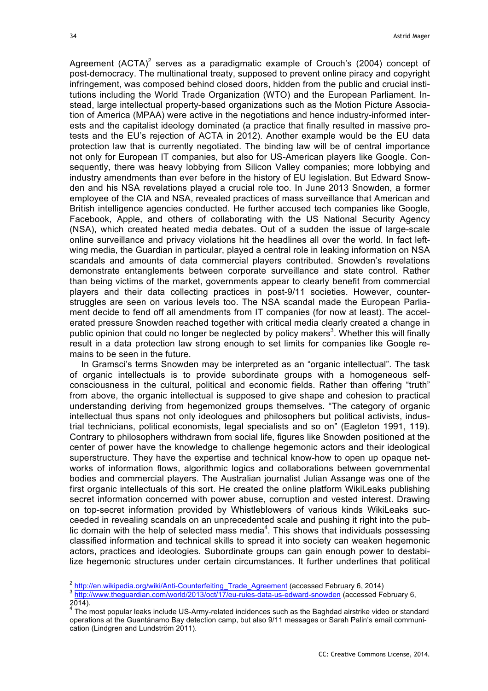Agreement  $(ACTA)^2$  serves as a paradigmatic example of Crouch's (2004) concept of post-democracy. The multinational treaty, supposed to prevent online piracy and copyright infringement, was composed behind closed doors, hidden from the public and crucial institutions including the World Trade Organization (WTO) and the European Parliament. Instead, large intellectual property-based organizations such as the Motion Picture Association of America (MPAA) were active in the negotiations and hence industry-informed interests and the capitalist ideology dominated (a practice that finally resulted in massive protests and the EU's rejection of ACTA in 2012). Another example would be the EU data protection law that is currently negotiated. The binding law will be of central importance not only for European IT companies, but also for US-American players like Google. Consequently, there was heavy lobbying from Silicon Valley companies; more lobbying and industry amendments than ever before in the history of EU legislation. But Edward Snowden and his NSA revelations played a crucial role too. In June 2013 Snowden, a former employee of the CIA and NSA, revealed practices of mass surveillance that American and British intelligence agencies conducted. He further accused tech companies like Google, Facebook, Apple, and others of collaborating with the US National Security Agency (NSA), which created heated media debates. Out of a sudden the issue of large-scale online surveillance and privacy violations hit the headlines all over the world. In fact leftwing media, the Guardian in particular, played a central role in leaking information on NSA scandals and amounts of data commercial players contributed. Snowden's revelations demonstrate entanglements between corporate surveillance and state control. Rather than being victims of the market, governments appear to clearly benefit from commercial players and their data collecting practices in post-9/11 societies. However, counterstruggles are seen on various levels too. The NSA scandal made the European Parliament decide to fend off all amendments from IT companies (for now at least). The accelerated pressure Snowden reached together with critical media clearly created a change in public opinion that could no longer be neglected by policy makers<sup>3</sup>. Whether this will finally result in a data protection law strong enough to set limits for companies like Google remains to be seen in the future.

In Gramsci's terms Snowden may be interpreted as an "organic intellectual". The task of organic intellectuals is to provide subordinate groups with a homogeneous selfconsciousness in the cultural, political and economic fields. Rather than offering "truth" from above, the organic intellectual is supposed to give shape and cohesion to practical understanding deriving from hegemonized groups themselves. "The category of organic intellectual thus spans not only ideologues and philosophers but political activists, industrial technicians, political economists, legal specialists and so on" (Eagleton 1991, 119). Contrary to philosophers withdrawn from social life, figures like Snowden positioned at the center of power have the knowledge to challenge hegemonic actors and their ideological superstructure. They have the expertise and technical know-how to open up opaque networks of information flows, algorithmic logics and collaborations between governmental bodies and commercial players. The Australian journalist Julian Assange was one of the first organic intellectuals of this sort. He created the online platform WikiLeaks publishing secret information concerned with power abuse, corruption and vested interest. Drawing on top-secret information provided by Whistleblowers of various kinds WikiLeaks succeeded in revealing scandals on an unprecedented scale and pushing it right into the public domain with the help of selected mass media<sup>4</sup>. This shows that individuals possessing classified information and technical skills to spread it into society can weaken hegemonic actors, practices and ideologies. Subordinate groups can gain enough power to destabilize hegemonic structures under certain circumstances. It further underlines that political

 $^2$  http://en.wikipedia.org/wiki/Anti-Counterfeiting\_Trade\_Agreement (accessed February 6, 2014) 3 http://www.theguardian.com/world/2013/oct/17/eu-rules-data-us-edward-snowden (accessed February 6, 2014).

 $4$  The most popular leaks include US-Army-related incidences such as the Baghdad airstrike video or standard operations at the Guantánamo Bay detection camp, but also 9/11 messages or Sarah Palin's email communication (Lindgren and Lundström 2011).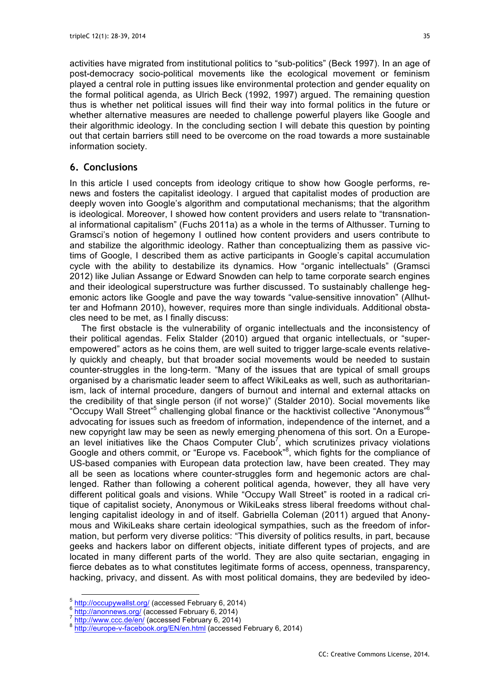activities have migrated from institutional politics to "sub-politics" (Beck 1997). In an age of post-democracy socio-political movements like the ecological movement or feminism played a central role in putting issues like environmental protection and gender equality on the formal political agenda, as Ulrich Beck (1992, 1997) argued. The remaining question thus is whether net political issues will find their way into formal politics in the future or whether alternative measures are needed to challenge powerful players like Google and their algorithmic ideology. In the concluding section I will debate this question by pointing out that certain barriers still need to be overcome on the road towards a more sustainable information society.

### **6. Conclusions**

In this article I used concepts from ideology critique to show how Google performs, renews and fosters the capitalist ideology. I argued that capitalist modes of production are deeply woven into Google's algorithm and computational mechanisms; that the algorithm is ideological. Moreover, I showed how content providers and users relate to "transnational informational capitalism" (Fuchs 2011a) as a whole in the terms of Althusser. Turning to Gramsci's notion of hegemony I outlined how content providers and users contribute to and stabilize the algorithmic ideology. Rather than conceptualizing them as passive victims of Google, I described them as active participants in Google's capital accumulation cycle with the ability to destabilize its dynamics. How "organic intellectuals" (Gramsci 2012) like Julian Assange or Edward Snowden can help to tame corporate search engines and their ideological superstructure was further discussed. To sustainably challenge hegemonic actors like Google and pave the way towards "value-sensitive innovation" (Allhutter and Hofmann 2010), however, requires more than single individuals. Additional obstacles need to be met, as I finally discuss:

The first obstacle is the vulnerability of organic intellectuals and the inconsistency of their political agendas. Felix Stalder (2010) argued that organic intellectuals, or "superempowered" actors as he coins them, are well suited to trigger large-scale events relatively quickly and cheaply, but that broader social movements would be needed to sustain counter-struggles in the long-term. "Many of the issues that are typical of small groups organised by a charismatic leader seem to affect WikiLeaks as well, such as authoritarianism, lack of internal procedure, dangers of burnout and internal and external attacks on the credibility of that single person (if not worse)" (Stalder 2010). Social movements like "Occupy Wall Street<sup>"5</sup> challenging global finance or the hacktivist collective "Anonymous"<sup>6</sup> advocating for issues such as freedom of information, independence of the internet, and a new copyright law may be seen as newly emerging phenomena of this sort. On a European level initiatives like the Chaos Computer Club<sup>7</sup>, which scrutinizes privacy violations Google and others commit, or "Europe vs. Facebook"<sup>8</sup>, which fights for the compliance of US-based companies with European data protection law, have been created. They may all be seen as locations where counter-struggles form and hegemonic actors are challenged. Rather than following a coherent political agenda, however, they all have very different political goals and visions. While "Occupy Wall Street" is rooted in a radical critique of capitalist society, Anonymous or WikiLeaks stress liberal freedoms without challenging capitalist ideology in and of itself. Gabriella Coleman (2011) argued that Anonymous and WikiLeaks share certain ideological sympathies, such as the freedom of information, but perform very diverse politics: "This diversity of politics results, in part, because geeks and hackers labor on different objects, initiate different types of projects, and are located in many different parts of the world. They are also quite sectarian, engaging in fierce debates as to what constitutes legitimate forms of access, openness, transparency, hacking, privacy, and dissent. As with most political domains, they are bedeviled by ideo-

 $\frac{1}{2}$ <br>  $\frac{1}{2}$ <br>  $\frac{1}{2}$ <br>  $\frac{1}{2}$ <br>  $\frac{1}{2}$ <br>  $\frac{1}{2}$ <br>  $\frac{1}{2}$ <br>  $\frac{1}{2}$ <br>  $\frac{1}{2}$ <br>  $\frac{1}{2}$ <br>  $\frac{1}{2}$ <br>  $\frac{1}{2}$ <br>  $\frac{1}{2}$ <br>  $\frac{1}{2}$ <br>  $\frac{1}{2}$ <br>  $\frac{1}{2}$ <br>  $\frac{1}{2}$ <br>  $\frac{1}{2}$ <br>  $\frac{1}{2}$ <br>  $\frac{1}{2}$ <br>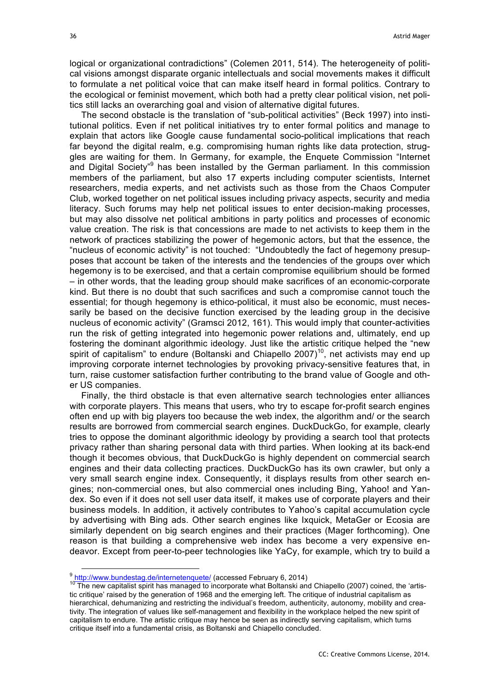logical or organizational contradictions" (Colemen 2011, 514). The heterogeneity of political visions amongst disparate organic intellectuals and social movements makes it difficult to formulate a net political voice that can make itself heard in formal politics. Contrary to the ecological or feminist movement, which both had a pretty clear political vision, net politics still lacks an overarching goal and vision of alternative digital futures.

The second obstacle is the translation of "sub-political activities" (Beck 1997) into institutional politics. Even if net political initiatives try to enter formal politics and manage to explain that actors like Google cause fundamental socio-political implications that reach far beyond the digital realm, e.g. compromising human rights like data protection, struggles are waiting for them. In Germany, for example, the Enquete Commission "Internet and Digital Society<sup>"9</sup> has been installed by the German parliament. In this commission members of the parliament, but also 17 experts including computer scientists, Internet researchers, media experts, and net activists such as those from the Chaos Computer Club, worked together on net political issues including privacy aspects, security and media literacy. Such forums may help net political issues to enter decision-making processes, but may also dissolve net political ambitions in party politics and processes of economic value creation. The risk is that concessions are made to net activists to keep them in the network of practices stabilizing the power of hegemonic actors, but that the essence, the "nucleus of economic activity" is not touched: "Undoubtedly the fact of hegemony presupposes that account be taken of the interests and the tendencies of the groups over which hegemony is to be exercised, and that a certain compromise equilibrium should be formed – in other words, that the leading group should make sacrifices of an economic-corporate kind. But there is no doubt that such sacrifices and such a compromise cannot touch the essential; for though hegemony is ethico-political, it must also be economic, must necessarily be based on the decisive function exercised by the leading group in the decisive nucleus of economic activity" (Gramsci 2012, 161). This would imply that counter-activities run the risk of getting integrated into hegemonic power relations and, ultimately, end up fostering the dominant algorithmic ideology. Just like the artistic critique helped the "new spirit of capitalism" to endure (Boltanski and Chiapello 2007)<sup>10</sup>, net activists may end up improving corporate internet technologies by provoking privacy-sensitive features that, in turn, raise customer satisfaction further contributing to the brand value of Google and other US companies.

Finally, the third obstacle is that even alternative search technologies enter alliances with corporate players. This means that users, who try to escape for-profit search engines often end up with big players too because the web index, the algorithm and/ or the search results are borrowed from commercial search engines. DuckDuckGo, for example, clearly tries to oppose the dominant algorithmic ideology by providing a search tool that protects privacy rather than sharing personal data with third parties. When looking at its back-end though it becomes obvious, that DuckDuckGo is highly dependent on commercial search engines and their data collecting practices. DuckDuckGo has its own crawler, but only a very small search engine index. Consequently, it displays results from other search engines; non-commercial ones, but also commercial ones including Bing, Yahoo! and Yandex. So even if it does not sell user data itself, it makes use of corporate players and their business models. In addition, it actively contributes to Yahoo's capital accumulation cycle by advertising with Bing ads. Other search engines like Ixquick, MetaGer or Ecosia are similarly dependent on big search engines and their practices (Mager forthcoming). One reason is that building a comprehensive web index has become a very expensive endeavor. Except from peer-to-peer technologies like YaCy, for example, which try to build a

 $\frac{9 \text{ http://www.bundestag.de/internetenquette/}}{10 \text{ The new capitalist spirit has managed to incorporate what Boltanski and Chiappello (2007) coined, the 'artis-}$ tic critique' raised by the generation of 1968 and the emerging left. The critique of industrial capitalism as hierarchical, dehumanizing and restricting the individual's freedom, authenticity, autonomy, mobility and creativity. The integration of values like self-management and flexibility in the workplace helped the new spirit of capitalism to endure. The artistic critique may hence be seen as indirectly serving capitalism, which turns critique itself into a fundamental crisis, as Boltanski and Chiapello concluded.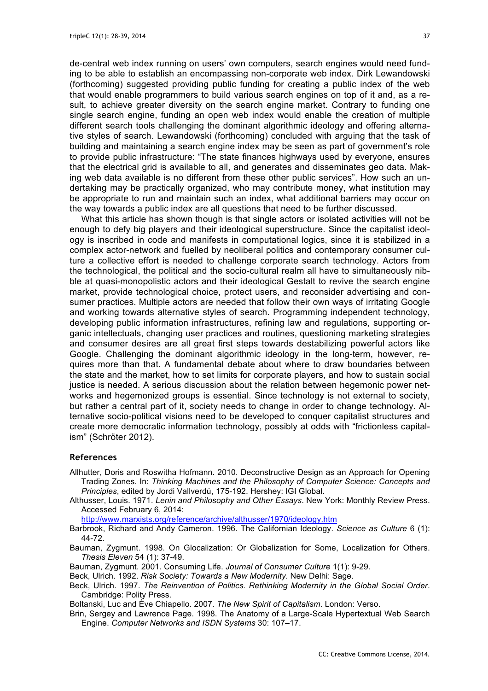de-central web index running on users' own computers, search engines would need funding to be able to establish an encompassing non-corporate web index. Dirk Lewandowski (forthcoming) suggested providing public funding for creating a public index of the web that would enable programmers to build various search engines on top of it and, as a result, to achieve greater diversity on the search engine market. Contrary to funding one single search engine, funding an open web index would enable the creation of multiple different search tools challenging the dominant algorithmic ideology and offering alternative styles of search. Lewandowski (forthcoming) concluded with arguing that the task of building and maintaining a search engine index may be seen as part of government's role to provide public infrastructure: "The state finances highways used by everyone, ensures that the electrical grid is available to all, and generates and disseminates geo data. Making web data available is no different from these other public services". How such an undertaking may be practically organized, who may contribute money, what institution may be appropriate to run and maintain such an index, what additional barriers may occur on the way towards a public index are all questions that need to be further discussed.

What this article has shown though is that single actors or isolated activities will not be enough to defy big players and their ideological superstructure. Since the capitalist ideology is inscribed in code and manifests in computational logics, since it is stabilized in a complex actor-network and fuelled by neoliberal politics and contemporary consumer culture a collective effort is needed to challenge corporate search technology. Actors from the technological, the political and the socio-cultural realm all have to simultaneously nibble at quasi-monopolistic actors and their ideological Gestalt to revive the search engine market, provide technological choice, protect users, and reconsider advertising and consumer practices. Multiple actors are needed that follow their own ways of irritating Google and working towards alternative styles of search. Programming independent technology, developing public information infrastructures, refining law and regulations, supporting organic intellectuals, changing user practices and routines, questioning marketing strategies and consumer desires are all great first steps towards destabilizing powerful actors like Google. Challenging the dominant algorithmic ideology in the long-term, however, requires more than that. A fundamental debate about where to draw boundaries between the state and the market, how to set limits for corporate players, and how to sustain social justice is needed. A serious discussion about the relation between hegemonic power networks and hegemonized groups is essential. Since technology is not external to society, but rather a central part of it, society needs to change in order to change technology. Alternative socio-political visions need to be developed to conquer capitalist structures and create more democratic information technology, possibly at odds with "frictionless capitalism" (Schröter 2012).

#### **References**

- Allhutter, Doris and Roswitha Hofmann. 2010. Deconstructive Design as an Approach for Opening Trading Zones. In: *Thinking Machines and the Philosophy of Computer Science: Concepts and Principles*, edited by Jordi Vallverdú, 175-192. Hershey: IGI Global.
- Althusser, Louis. 1971. *Lenin and Philosophy and Other Essays*. New York: Monthly Review Press. Accessed February 6, 2014:

http://www.marxists.org/reference/archive/althusser/1970/ideology.htm

- Barbrook, Richard and Andy Cameron. 1996. The Californian Ideology. *Science as Culture* 6 (1): 44-72.
- Bauman, Zygmunt. 1998. On Glocalization: Or Globalization for Some, Localization for Others. *Thesis Eleven* 54 (1): 37-49.
- Bauman, Zygmunt. 2001. Consuming Life. *Journal of Consumer Culture* 1(1): 9-29.
- Beck, Ulrich. 1992. *Risk Society: Towards a New Modernity*. New Delhi: Sage.
- Beck, Ulrich. 1997. *The Reinvention of Politics. Rethinking Modernity in the Global Social Order*. Cambridge: Polity Press.

Boltanski, Luc and Ève Chiapello. 2007. *The New Spirit of Capitalism*. London: Verso.

Brin, Sergey and Lawrence Page. 1998. The Anatomy of a Large-Scale Hypertextual Web Search Engine. *Computer Networks and ISDN Systems* 30: 107–17.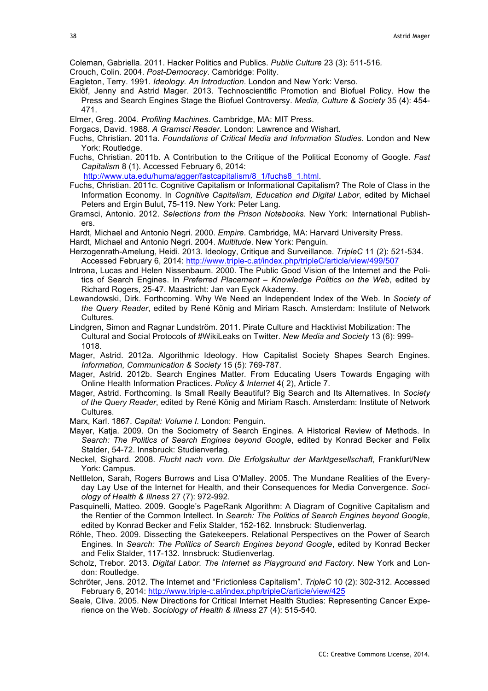Coleman, Gabriella. 2011. Hacker Politics and Publics. *Public Culture* 23 (3): 511-516*.*

- Crouch, Colin. 2004. *Post-Democracy*. Cambridge: Polity.
- Eagleton, Terry. 1991. *Ideology. An Introduction*. London and New York: Verso.
- Eklöf, Jenny and Astrid Mager. 2013. Technoscientific Promotion and Biofuel Policy. How the Press and Search Engines Stage the Biofuel Controversy. *Media, Culture & Society* 35 (4): 454- 471.
- Elmer, Greg. 2004. *Profiling Machines*. Cambridge, MA: MIT Press.
- Forgacs, David. 1988. *A Gramsci Reader*. London: Lawrence and Wishart.
- Fuchs, Christian. 2011a. *Foundations of Critical Media and Information Studies*. London and New York: Routledge.
- Fuchs, Christian. 2011b. A Contribution to the Critique of the Political Economy of Google. *Fast Capitalism* 8 (1). Accessed February 6, 2014:

http://www.uta.edu/huma/agger/fastcapitalism/8\_1/fuchs8\_1.html.

- Fuchs, Christian. 2011c. Cognitive Capitalism or Informational Capitalism? The Role of Class in the Information Economy. In *Cognitive Capitalism, Education and Digital Labor*, edited by Michael Peters and Ergin Bulut, 75-119. New York: Peter Lang.
- Gramsci, Antonio. 2012. *Selections from the Prison Notebooks*. New York: International Publishers.
- Hardt, Michael and Antonio Negri. 2000. *Empire*. Cambridge, MA: Harvard University Press.
- Hardt, Michael and Antonio Negri. 2004. *Multitude*. New York: Penguin.
- Herzogenrath-Amelung, Heidi. 2013. Ideology, Critique and Surveillance. *TripleC* 11 (2): 521-534. Accessed February 6, 2014: http://www.triple-c.at/index.php/tripleC/article/view/499/507
- Introna, Lucas and Helen Nissenbaum. 2000. The Public Good Vision of the Internet and the Politics of Search Engines. In *Preferred Placement – Knowledge Politics on the Web*, edited by Richard Rogers, 25-47. Maastricht: Jan van Eyck Akademy.
- Lewandowski, Dirk. Forthcoming. Why We Need an Independent Index of the Web. In *Society of the Query Reader*, edited by René König and Miriam Rasch. Amsterdam: Institute of Network Cultures.
- Lindgren, Simon and Ragnar Lundström. 2011. Pirate Culture and Hacktivist Mobilization: The Cultural and Social Protocols of #WikiLeaks on Twitter. *New Media and Society* 13 (6): 999- 1018.
- Mager, Astrid. 2012a. Algorithmic Ideology. How Capitalist Society Shapes Search Engines. *Information, Communication & Society* 15 (5): 769-787.
- Mager, Astrid. 2012b. Search Engines Matter. From Educating Users Towards Engaging with Online Health Information Practices. *Policy & Internet* 4( 2), Article 7.
- Mager, Astrid. Forthcoming. Is Small Really Beautiful? Big Search and Its Alternatives. In *Society of the Query Reader*, edited by René König and Miriam Rasch. Amsterdam: Institute of Network Cultures.
- Marx, Karl. 1867. *Capital: Volume I.* London: Penguin.
- Mayer, Katja. 2009. On the Sociometry of Search Engines. A Historical Review of Methods. In *Search: The Politics of Search Engines beyond Google*, edited by Konrad Becker and Felix Stalder, 54-72. Innsbruck: Studienverlag.
- Neckel, Sighard. 2008. *Flucht nach vorn. Die Erfolgskultur der Marktgesellschaft*, Frankfurt/New York: Campus.
- Nettleton, Sarah, Rogers Burrows and Lisa O'Malley. 2005. The Mundane Realities of the Everyday Lay Use of the Internet for Health, and their Consequences for Media Convergence. *Sociology of Health & Illness* 27 (7): 972-992.
- Pasquinelli, Matteo. 2009. Google's PageRank Algorithm: A Diagram of Cognitive Capitalism and the Rentier of the Common Intellect. In *Search: The Politics of Search Engines beyond Google*, edited by Konrad Becker and Felix Stalder, 152-162. Innsbruck: Studienverlag.
- Röhle, Theo. 2009. Dissecting the Gatekeepers. Relational Perspectives on the Power of Search Engines. In *Search: The Politics of Search Engines beyond Google*, edited by Konrad Becker and Felix Stalder, 117-132. Innsbruck: Studienverlag.
- Scholz, Trebor. 2013. *Digital Labor. The Internet as Playground and Factory*. New York and London: Routledge.
- Schröter, Jens. 2012. The Internet and "Frictionless Capitalism". *TripleC* 10 (2): 302-312. Accessed February 6, 2014: http://www.triple-c.at/index.php/tripleC/article/view/425
- Seale, Clive. 2005. New Directions for Critical Internet Health Studies: Representing Cancer Experience on the Web. *Sociology of Health & Illness* 27 (4): 515-540.